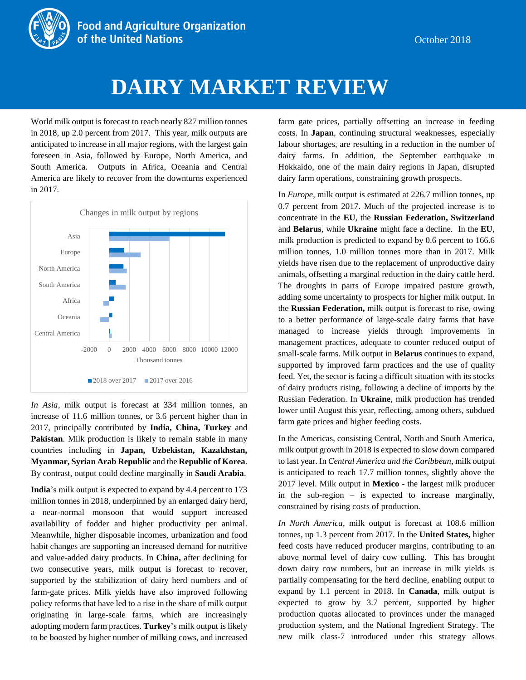

# **WORLD MIRK MARKET REVIEW**

World milk output is forecast to reach nearly 827 million tonnes in 2018, up 2.0 percent from 2017. This year, milk outputs are anticipated to increase in all major regions, with the largest gain foreseen in Asia, followed by Europe, North America, and South America. Outputs in Africa, Oceania and Central America are likely to recover from the downturns experienced in 2017.



*In Asia,* milk output is forecast at 334 million tonnes, an increase of 11.6 million tonnes, or 3.6 percent higher than in 2017, principally contributed by **India, China, Turkey** and **Pakistan**. Milk production is likely to remain stable in many countries including in **Japan, Uzbekistan, Kazakhstan, Myanmar, Syrian Arab Republic** and the **Republic of Korea**. By contrast, output could decline marginally in **Saudi Arabia**.

**India**'s milk output is expected to expand by 4.4 percent to 173 million tonnes in 2018, underpinned by an enlarged dairy herd, a near-normal monsoon that would support increased availability of fodder and higher productivity per animal. Meanwhile, higher disposable incomes, urbanization and food habit changes are supporting an increased demand for nutritive and value-added dairy products. In **China,** after declining for two consecutive years, milk output is forecast to recover, supported by the stabilization of dairy herd numbers and of farm-gate prices. Milk yields have also improved following policy reforms that have led to a rise in the share of milk output originating in large-scale farms, which are increasingly adopting modern farm practices. **Turkey**'s milk output is likely to be boosted by higher number of milking cows, and increased farm gate prices, partially offsetting an increase in feeding costs. In **Japan**, continuing structural weaknesses, especially labour shortages, are resulting in a reduction in the number of dairy farms. In addition, the September earthquake in Hokkaido, one of the main dairy regions in Japan, disrupted dairy farm operations, constraining growth prospects.

In *Europe*, milk output is estimated at 226.7 million tonnes, up 0.7 percent from 2017. Much of the projected increase is to concentrate in the **EU**, the **Russian Federation, Switzerland** and **Belarus**, while **Ukraine** might face a decline. In the **EU**, milk production is predicted to expand by 0.6 percent to 166.6 million tonnes, 1.0 million tonnes more than in 2017. Milk yields have risen due to the replacement of unproductive dairy animals, offsetting a marginal reduction in the dairy cattle herd. The droughts in parts of Europe impaired pasture growth, adding some uncertainty to prospects for higher milk output. In the **Russian Federation,** milk output is forecast to rise, owing to a better performance of large-scale dairy farms that have managed to increase yields through improvements in management practices, adequate to counter reduced output of small-scale farms. Milk output in **Belarus** continues to expand, supported by improved farm practices and the use of quality feed. Yet, the sector is facing a difficult situation with its stocks of dairy products rising, following a decline of imports by the Russian Federation. In **Ukraine**, milk production has trended lower until August this year, reflecting, among others, subdued farm gate prices and higher feeding costs.

In the Americas, consisting Central, North and South America, milk output growth in 2018 is expected to slow down compared to last year. In *Central America and the Caribbean*, milk output is anticipated to reach 17.7 million tonnes, slightly above the 2017 level. Milk output in **Mexico** - the largest milk producer in the sub-region – is expected to increase marginally, constrained by rising costs of production.

*In North America,* milk output is forecast at 108.6 million tonnes, up 1.3 percent from 2017. In the **United States,** higher feed costs have reduced producer margins, contributing to an above normal level of dairy cow culling. This has brought down dairy cow numbers, but an increase in milk yields is partially compensating for the herd decline, enabling output to expand by 1.1 percent in 2018. In **Canada**, milk output is expected to grow by 3.7 percent, supported by higher production quotas allocated to provinces under the managed production system, and the National Ingredient Strategy. The new milk class-7 introduced under this strategy allows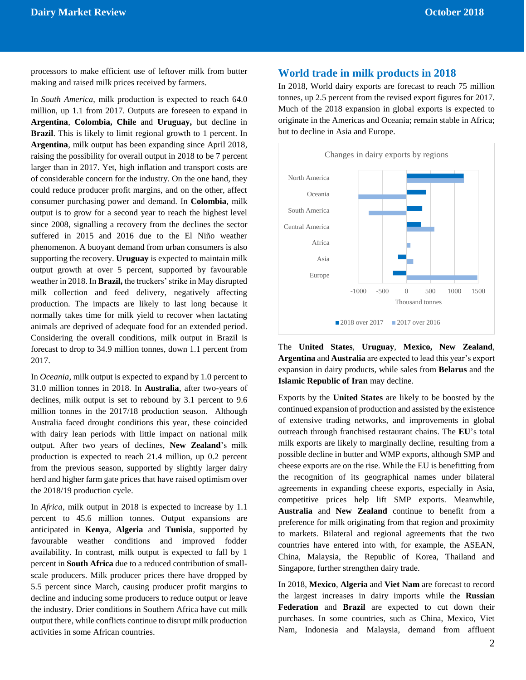processors to make efficient use of leftover milk from butter making and raised milk prices received by farmers.

In *South America*, milk production is expected to reach 64.0 million, up 1.1 from 2017. Outputs are foreseen to expand in **Argentina**, **Colombia, Chile** and **Uruguay,** but decline in **Brazil**. This is likely to limit regional growth to 1 percent. In **Argentina**, milk output has been expanding since April 2018, raising the possibility for overall output in 2018 to be 7 percent larger than in 2017. Yet, high inflation and transport costs are of considerable concern for the industry. On the one hand, they could reduce producer profit margins, and on the other, affect consumer purchasing power and demand. In **Colombia**, milk output is to grow for a second year to reach the highest level since 2008, signalling a recovery from the declines the sector suffered in 2015 and 2016 due to the El Niño weather phenomenon. A buoyant demand from urban consumers is also supporting the recovery. **Uruguay** is expected to maintain milk output growth at over 5 percent, supported by favourable weather in 2018. In **Brazil,** the truckers' strike in May disrupted milk collection and feed delivery, negatively affecting production. The impacts are likely to last long because it normally takes time for milk yield to recover when lactating animals are deprived of adequate food for an extended period. Considering the overall conditions, milk output in Brazil is forecast to drop to 34.9 million tonnes, down 1.1 percent from 2017.

In *Oceania*, milk output is expected to expand by 1.0 percent to 31.0 million tonnes in 2018. In **Australia**, after two-years of declines, milk output is set to rebound by 3.1 percent to 9.6 million tonnes in the 2017/18 production season. Although Australia faced drought conditions this year, these coincided with dairy lean periods with little impact on national milk output. After two years of declines, **New Zealand**'s milk production is expected to reach 21.4 million, up 0.2 percent from the previous season, supported by slightly larger dairy herd and higher farm gate prices that have raised optimism over the 2018/19 production cycle.

In *Africa*, milk output in 2018 is expected to increase by 1.1 percent to 45.6 million tonnes. Output expansions are anticipated in **Kenya**, **Algeria** and **Tunisia**, supported by favourable weather conditions and improved fodder availability. In contrast, milk output is expected to fall by 1 percent in **South Africa** due to a reduced contribution of smallscale producers. Milk producer prices there have dropped by 5.5 percent since March, causing producer profit margins to decline and inducing some producers to reduce output or leave the industry. Drier conditions in Southern Africa have cut milk output there, while conflicts continue to disrupt milk production activities in some African countries.

#### **World trade in milk products in 2018**

In 2018, World dairy exports are forecast to reach 75 million tonnes, up 2.5 percent from the revised export figures for 2017. Much of the 2018 expansion in global exports is expected to originate in the Americas and Oceania; remain stable in Africa; but to decline in Asia and Europe.



The **United States**, **Uruguay**, **Mexico, New Zealand**, **Argentina** and **Australia** are expected to lead this year's export expansion in dairy products, while sales from **Belarus** and the **Islamic Republic of Iran** may decline.

Exports by the **United States** are likely to be boosted by the continued expansion of production and assisted by the existence of extensive trading networks, and improvements in global outreach through franchised restaurant chains. The **EU**'s total milk exports are likely to marginally decline, resulting from a possible decline in butter and WMP exports, although SMP and cheese exports are on the rise. While the EU is benefitting from the recognition of its geographical names under bilateral agreements in expanding cheese exports, especially in Asia, competitive prices help lift SMP exports. Meanwhile, **Australia** and **New Zealand** continue to benefit from a preference for milk originating from that region and proximity to markets. Bilateral and regional agreements that the two countries have entered into with, for example, the ASEAN, China, Malaysia, the Republic of Korea, Thailand and Singapore, further strengthen dairy trade.

In 2018, **Mexico**, **Algeria** and **Viet Nam** are forecast to record the largest increases in dairy imports while the **Russian Federation** and **Brazil** are expected to cut down their purchases. In some countries, such as China, Mexico, Viet Nam, Indonesia and Malaysia, demand from affluent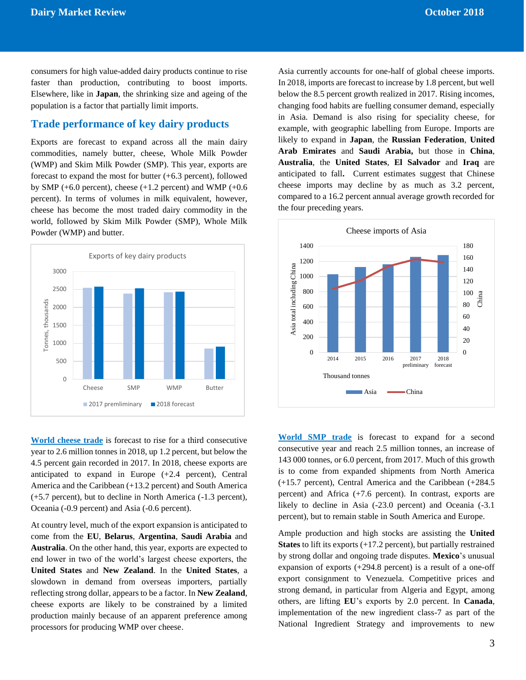consumers for high value-added dairy products continue to rise faster than production, contributing to boost imports. Elsewhere, like in **Japan**, the shrinking size and ageing of the population is a factor that partially limit imports.

### **Trade performance of key dairy products**

Exports are forecast to expand across all the main dairy commodities, namely butter, cheese, Whole Milk Powder (WMP) and Skim Milk Powder (SMP). This year, exports are forecast to expand the most for butter  $(+6.3 \text{ percent})$ , followed by SMP  $(+6.0 \text{ percent})$ , cheese  $(+1.2 \text{ percent})$  and WMP  $(+0.6 \text{$ percent). In terms of volumes in milk equivalent, however, cheese has become the most traded dairy commodity in the world, followed by Skim Milk Powder (SMP), Whole Milk Powder (WMP) and butter.



**World cheese trade** is forecast to rise for a third consecutive year to 2.6 million tonnes in 2018, up 1.2 percent, but below the 4.5 percent gain recorded in 2017. In 2018, cheese exports are anticipated to expand in Europe (+2.4 percent), Central America and the Caribbean (+13.2 percent) and South America (+5.7 percent), but to decline in North America (-1.3 percent), Oceania (-0.9 percent) and Asia (-0.6 percent).

At country level, much of the export expansion is anticipated to come from the **EU**, **Belarus**, **Argentina**, **Saudi Arabia** and **Australia**. On the other hand, this year, exports are expected to end lower in two of the world's largest cheese exporters, the **United States** and **New Zealand**. In the **United States**, a slowdown in demand from overseas importers, partially reflecting strong dollar, appears to be a factor. In **New Zealand**, cheese exports are likely to be constrained by a limited production mainly because of an apparent preference among processors for producing WMP over cheese.

Asia currently accounts for one-half of global cheese imports. In 2018, imports are forecast to increase by 1.8 percent, but well below the 8.5 percent growth realized in 2017. Rising incomes, changing food habits are fuelling consumer demand, especially in Asia. Demand is also rising for speciality cheese, for example, with geographic labelling from Europe. Imports are likely to expand in **Japan**, the **Russian Federation**, **United Arab Emirates** and **Saudi Arabia,** but those in **China**, **Australia**, the **United States**, **El Salvador** and **Iraq** are anticipated to fall**.** Current estimates suggest that Chinese cheese imports may decline by as much as 3.2 percent, compared to a 16.2 percent annual average growth recorded for the four preceding years.



**World SMP trade** is forecast to expand for a second consecutive year and reach 2.5 million tonnes, an increase of 143 000 tonnes, or 6.0 percent, from 2017. Much of this growth is to come from expanded shipments from North America (+15.7 percent), Central America and the Caribbean (+284.5 percent) and Africa (+7.6 percent). In contrast, exports are likely to decline in Asia (-23.0 percent) and Oceania (-3.1) percent), but to remain stable in South America and Europe.

Ample production and high stocks are assisting the **United States** to lift its exports (+17.2 percent), but partially restrained by strong dollar and ongoing trade disputes. **Mexico**'s unusual expansion of exports (+294.8 percent) is a result of a one-off export consignment to Venezuela. Competitive prices and strong demand, in particular from Algeria and Egypt, among others, are lifting **EU**'s exports by 2.0 percent. In **Canada**, implementation of the new ingredient class-7 as part of the National Ingredient Strategy and improvements to new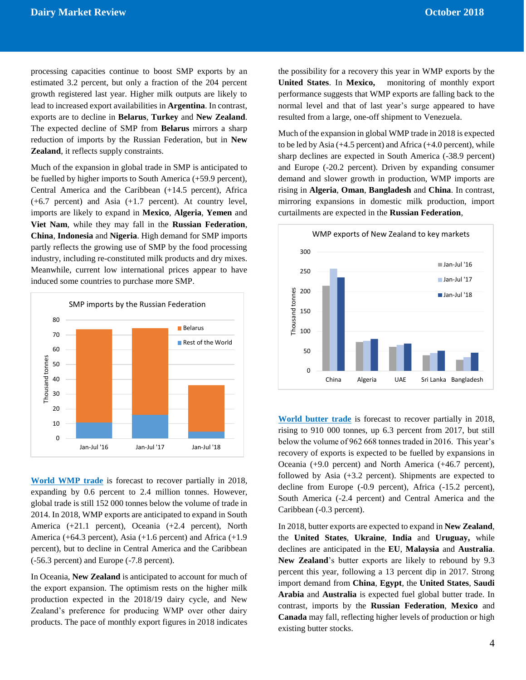processing capacities continue to boost SMP exports by an estimated 3.2 percent, but only a fraction of the 204 percent growth registered last year. Higher milk outputs are likely to lead to increased export availabilities in **Argentina**. In contrast, exports are to decline in **Belarus**, **Turkey** and **New Zealand**. The expected decline of SMP from **Belarus** mirrors a sharp reduction of imports by the Russian Federation, but in **New Zealand**, it reflects supply constraints.

Much of the expansion in global trade in SMP is anticipated to be fuelled by higher imports to South America (+59.9 percent), Central America and the Caribbean (+14.5 percent), Africa (+6.7 percent) and Asia (+1.7 percent). At country level, imports are likely to expand in **Mexico**, **Algeria**, **Yemen** and **Viet Nam**, while they may fall in the **Russian Federation**, **China**, **Indonesia** and **Nigeria**. High demand for SMP imports partly reflects the growing use of SMP by the food processing industry, including re-constituted milk products and dry mixes. Meanwhile, current low international prices appear to have induced some countries to purchase more SMP.



**World WMP trade** is forecast to recover partially in 2018, expanding by 0.6 percent to 2.4 million tonnes. However, global trade is still 152 000 tonnes below the volume of trade in 2014. In 2018, WMP exports are anticipated to expand in South America (+21.1 percent), Oceania (+2.4 percent), North America (+64.3 percent), Asia (+1.6 percent) and Africa (+1.9 percent), but to decline in Central America and the Caribbean (-56.3 percent) and Europe (-7.8 percent).

In Oceania, **New Zealand** is anticipated to account for much of the export expansion. The optimism rests on the higher milk production expected in the 2018/19 dairy cycle, and New Zealand's preference for producing WMP over other dairy products. The pace of monthly export figures in 2018 indicates the possibility for a recovery this year in WMP exports by the **United States**. In **Mexico,** monitoring of monthly export performance suggests that WMP exports are falling back to the normal level and that of last year's surge appeared to have resulted from a large, one-off shipment to Venezuela.

Much of the expansion in global WMP trade in 2018 is expected to be led by Asia (+4.5 percent) and Africa (+4.0 percent), while sharp declines are expected in South America (-38.9 percent) and Europe (-20.2 percent). Driven by expanding consumer demand and slower growth in production, WMP imports are rising in **Algeria**, **Oman**, **Bangladesh** and **China**. In contrast, mirroring expansions in domestic milk production, import curtailments are expected in the **Russian Federation**,



**World butter trade** is forecast to recover partially in 2018, rising to 910 000 tonnes, up 6.3 percent from 2017, but still below the volume of 962 668 tonnes traded in 2016. This year's recovery of exports is expected to be fuelled by expansions in Oceania (+9.0 percent) and North America (+46.7 percent), followed by Asia (+3.2 percent). Shipments are expected to decline from Europe (-0.9 percent), Africa (-15.2 percent), South America (-2.4 percent) and Central America and the Caribbean (-0.3 percent).

In 2018, butter exports are expected to expand in **New Zealand**, the **United States**, **Ukraine**, **India** and **Uruguay,** while declines are anticipated in the **EU**, **Malaysia** and **Australia**. **New Zealand**'s butter exports are likely to rebound by 9.3 percent this year, following a 13 percent dip in 2017. Strong import demand from **China**, **Egypt**, the **United States**, **Saudi Arabia** and **Australia** is expected fuel global butter trade. In contrast, imports by the **Russian Federation**, **Mexico** and **Canada** may fall, reflecting higher levels of production or high existing butter stocks.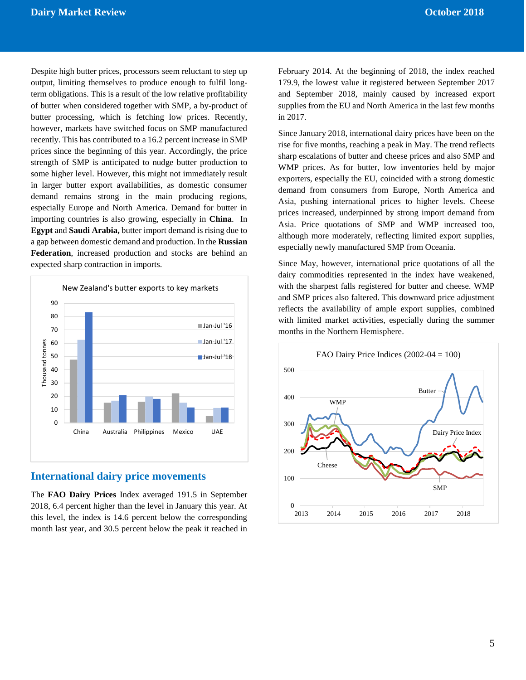Despite high butter prices, processors seem reluctant to step up output, limiting themselves to produce enough to fulfil longterm obligations. This is a result of the low relative profitability of butter when considered together with SMP, a by-product of butter processing, which is fetching low prices. Recently, however, markets have switched focus on SMP manufactured recently. This has contributed to a 16.2 percent increase in SMP prices since the beginning of this year. Accordingly, the price strength of SMP is anticipated to nudge butter production to some higher level. However, this might not immediately result in larger butter export availabilities, as domestic consumer demand remains strong in the main producing regions, especially Europe and North America. Demand for butter in importing countries is also growing, especially in **China**. In **Egypt** and **Saudi Arabia,** butter import demand is rising due to a gap between domestic demand and production. In the **Russian Federation**, increased production and stocks are behind an expected sharp contraction in imports.



#### **International dairy price movements**

The **FAO Dairy Prices** Index averaged 191.5 in September 2018, 6.4 percent higher than the level in January this year. At this level, the index is 14.6 percent below the corresponding month last year, and 30.5 percent below the peak it reached in February 2014. At the beginning of 2018, the index reached 179.9, the lowest value it registered between September 2017 and September 2018, mainly caused by increased export supplies from the EU and North America in the last few months in 2017.

Since January 2018, international dairy prices have been on the rise for five months, reaching a peak in May. The trend reflects sharp escalations of butter and cheese prices and also SMP and WMP prices. As for butter, low inventories held by major exporters, especially the EU, coincided with a strong domestic demand from consumers from Europe, North America and Asia, pushing international prices to higher levels. Cheese prices increased, underpinned by strong import demand from Asia. Price quotations of SMP and WMP increased too, although more moderately, reflecting limited export supplies, especially newly manufactured SMP from Oceania.

Since May, however, international price quotations of all the dairy commodities represented in the index have weakened, with the sharpest falls registered for butter and cheese. WMP and SMP prices also faltered. This downward price adjustment reflects the availability of ample export supplies, combined with limited market activities, especially during the summer months in the Northern Hemisphere.

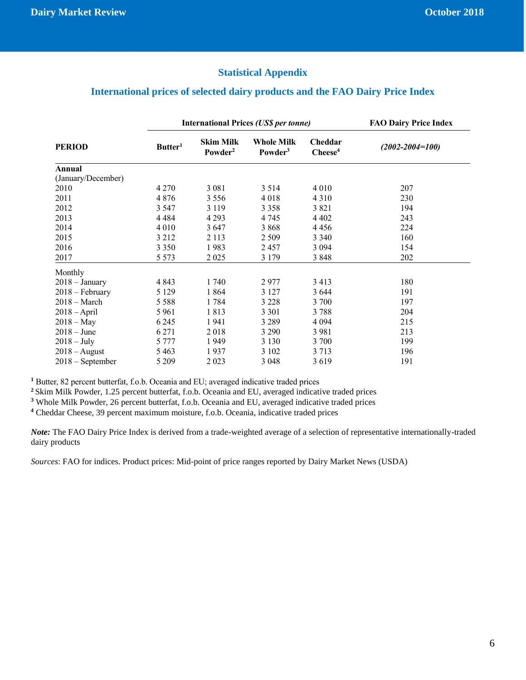### **Statistical Appendix**

## **International prices of selected dairy products and the FAO Dairy Price Index**

|                    |                     | <b>International Prices (US\$ per tonne)</b> | <b>FAO Dairy Price Index</b>             |                               |                       |
|--------------------|---------------------|----------------------------------------------|------------------------------------------|-------------------------------|-----------------------|
| <b>PERIOD</b>      | Butter <sup>1</sup> | <b>Skim Milk</b><br>Powder <sup>2</sup>      | <b>Whole Milk</b><br>Powder <sup>3</sup> | Cheddar<br>$\mathbf{Check}^4$ | $(2002 - 2004 = 100)$ |
| Annual             |                     |                                              |                                          |                               |                       |
| (January/December) |                     |                                              |                                          |                               |                       |
| 2010               | 4 2 7 0             | 3 0 8 1                                      | 3 5 1 4                                  | 4 0 1 0                       | 207                   |
| 2011               | 4 8 7 6             | 3 5 5 6                                      | 4018                                     | 4 3 1 0                       | 230                   |
| 2012               | 3 5 4 7             | 3 1 1 9                                      | 3 3 5 8                                  | 3 8 2 1                       | 194                   |
| 2013               | 4 4 8 4             | 4 2 9 3                                      | 4 7 4 5                                  | 4 4 0 2                       | 243                   |
| 2014               | 4 0 1 0             | 3647                                         | 3868                                     | 4456                          | 224                   |
| 2015               | 3 2 1 2             | 2 1 1 3                                      | 2 5 0 9                                  | 3 3 4 0                       | 160                   |
| 2016               | 3 3 5 0             | 1983                                         | 2457                                     | 3 0 9 4                       | 154                   |
| 2017               | 5 5 7 3             | 2 0 2 5                                      | 3 1 7 9                                  | 3848                          | 202                   |
| Monthly            |                     |                                              |                                          |                               |                       |
| $2018 - January$   | 4 8 4 3             | 1740                                         | 2977                                     | 3 4 1 3                       | 180                   |
| $2018$ – February  | 5 1 2 9             | 1864                                         | 3 1 2 7                                  | 3 6 4 4                       | 191                   |
| $2018 - March$     | 5 5 8 8             | 1784                                         | 3 2 2 8                                  | 3 700                         | 197                   |
| $2018 - April$     | 5 9 6 1             | 1813                                         | 3 3 0 1                                  | 3788                          | 204                   |
| $2018 - May$       | 6 2 4 5             | 1941                                         | 3 2 8 9                                  | 4 0 9 4                       | 215                   |
| $2018 - June$      | 6 2 7 1             | 2018                                         | 3 2 9 0                                  | 3 9 8 1                       | 213                   |
| $2018 - July$      | 5 7 7 7             | 1949                                         | 3 1 3 0                                  | 3 700                         | 199                   |
| $2018 - August$    | 5 4 6 3             | 1937                                         | 3 1 0 2                                  | 3 7 1 3                       | 196                   |
| $2018$ – September | 5 2 0 9             | 2 0 2 3                                      | 3 0 4 8                                  | 3619                          | 191                   |

**<sup>1</sup>** Butter, 82 percent butterfat, f.o.b. Oceania and EU; averaged indicative traded prices

**<sup>2</sup>** Skim Milk Powder, 1.25 percent butterfat, f.o.b. Oceania and EU, averaged indicative traded prices

**<sup>3</sup>** Whole Milk Powder, 26 percent butterfat, f.o.b. Oceania and EU, averaged indicative traded prices

**<sup>4</sup>** Cheddar Cheese, 39 percent maximum moisture, f.o.b. Oceania, indicative traded prices

*Note:* The FAO Dairy Price Index is derived from a trade-weighted average of a selection of representative internationally-traded dairy products

*Sources*: FAO for indices. Product prices: Mid-point of price ranges reported by Dairy Market News (USDA)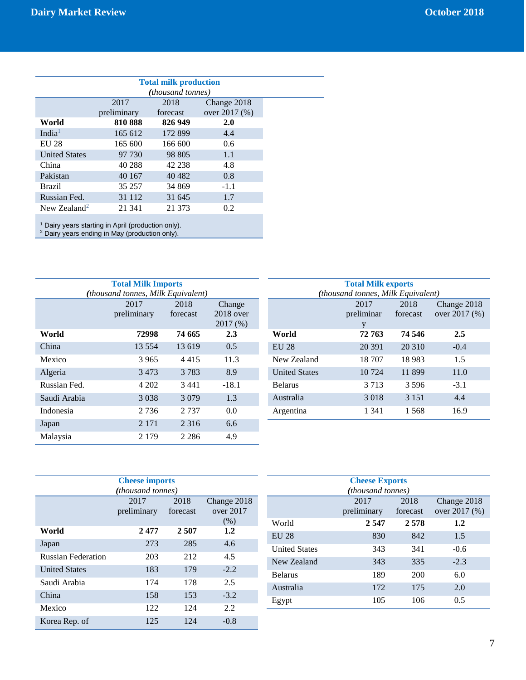| <b>Total milk production</b> |             |          |               |  |
|------------------------------|-------------|----------|---------------|--|
| <i>(thousand tonnes)</i>     |             |          |               |  |
|                              | 2017        | 2018     | Change 2018   |  |
|                              | preliminary | forecast | over 2017 (%) |  |
| World                        | 810888      | 826 949  | 2.0           |  |
| India <sup>1</sup>           | 165 612     | 172 899  | 4.4           |  |
| EU 28                        | 165 600     | 166 600  | $0.6^{\circ}$ |  |
| <b>United States</b>         | 97 730      | 98 805   | 1.1           |  |
| China                        | 40 288      | 42 238   | 4.8           |  |
| Pakistan                     | 40 167      | 40 4 82  | 0.8           |  |
| <b>Brazil</b>                | 35 257      | 34 869   | $-1.1$        |  |
| Russian Fed.                 | 31 1 1 2    | 31 645   | 1.7           |  |
| New Zealand <sup>2</sup>     | 21 341      | 21 373   | 0.2           |  |
|                              |             |          |               |  |

<sup>1</sup> Dairy years starting in April (production only).

 $2$  Dairy years ending in May (production only).

| <b>Total Milk Imports</b>          |             |          |             |  |  |  |
|------------------------------------|-------------|----------|-------------|--|--|--|
| (thousand tonnes, Milk Equivalent) |             |          |             |  |  |  |
|                                    | 2017        | 2018     | Change      |  |  |  |
|                                    | preliminary | forecast | $2018$ over |  |  |  |
|                                    |             |          | 2017(%)     |  |  |  |
| World                              | 72998       | 74 665   | 2.3         |  |  |  |
| China                              | 13 5 5 4    | 13619    | 0.5         |  |  |  |
| Mexico                             | 3965        | 4415     | 11.3        |  |  |  |
| Algeria                            | 3473        | 3 7 8 3  | 8.9         |  |  |  |
| Russian Fed.                       | 4 202       | 3441     | $-18.1$     |  |  |  |
| Saudi Arabia                       | 3 0 3 8     | 3 0 7 9  | 1.3         |  |  |  |
| Indonesia                          | 2 7 3 6     | 2 7 3 7  | 0.0         |  |  |  |
| Japan                              | 2 1 7 1     | 2 3 1 6  | 6.6         |  |  |  |
| Malaysia                           | 2 1 7 9     | 2 2 8 6  | 4.9         |  |  |  |

| <b>Total Milk exports</b>          |            |          |               |  |  |
|------------------------------------|------------|----------|---------------|--|--|
| (thousand tonnes, Milk Equivalent) |            |          |               |  |  |
|                                    | 2017       | 2018     | Change 2018   |  |  |
|                                    | preliminar | forecast | over 2017 (%) |  |  |
|                                    | y          |          |               |  |  |
| World                              | 72 763     | 74 546   | 2.5           |  |  |
| <b>EU 28</b>                       | 20 391     | 20 310   | $-0.4$        |  |  |
| New Zealand                        | 18 707     | 18983    | 1.5           |  |  |
| <b>United States</b>               | 10 724     | 11899    | 11.0          |  |  |
| <b>Belarus</b>                     | 3 7 1 3    | 3.596    | $-3.1$        |  |  |
| Australia                          | 3018       | 3 1 5 1  | 4.4           |  |  |
| Argentina                          | 1 341      | 1.568    | 16.9          |  |  |

| <b>Cheese imports</b>     |                          |          |             |  |  |
|---------------------------|--------------------------|----------|-------------|--|--|
|                           | <i>(thousand tonnes)</i> |          |             |  |  |
|                           | 2017                     | 2018     | Change 2018 |  |  |
|                           | preliminary              | forecast | over $2017$ |  |  |
|                           |                          |          | (% )        |  |  |
| World                     | 2477                     | 2 507    | 1.2         |  |  |
| Japan                     | 273                      | 285      | 4.6         |  |  |
| <b>Russian Federation</b> | 203                      | 212      | 4.5         |  |  |
| <b>United States</b>      | 183                      | 179      | $-2.2$      |  |  |
| Saudi Arabia              | 174                      | 178      | 2.5         |  |  |
| China                     | 158                      | 153      | $-3.2$      |  |  |
| Mexico                    | 122                      | 124      | 2.2         |  |  |
| Korea Rep. of             | 125                      | 124      | $-0.8$      |  |  |

| <b>Cheese Exports</b> |                          |          |               |  |  |
|-----------------------|--------------------------|----------|---------------|--|--|
|                       | <i>(thousand tonnes)</i> |          |               |  |  |
|                       | 2017                     | 2018     | Change 2018   |  |  |
|                       | preliminary              | forecast | over 2017 (%) |  |  |
| World                 | 2 5 4 7                  | 2.578    | 1.2           |  |  |
| <b>EU 28</b>          | 830                      | 842      | 1.5           |  |  |
| <b>United States</b>  | 343                      | 341      | $-0.6$        |  |  |
| New Zealand           | 343                      | 335      | $-2.3$        |  |  |
| <b>Belarus</b>        | 189                      | 200      | 6.0           |  |  |
| Australia             | 172                      | 175      | 2.0           |  |  |
| Egypt                 | 105                      | 106      | 0.5           |  |  |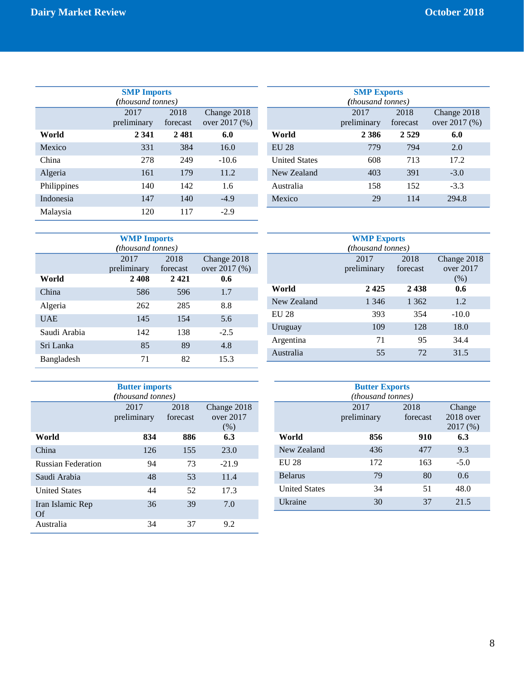| <b>SMP Imports</b> |                   |          |               |  |  |
|--------------------|-------------------|----------|---------------|--|--|
|                    | (thousand tonnes) |          |               |  |  |
|                    | 2017              | 2018     | Change 2018   |  |  |
|                    | preliminary       | forecast | over 2017 (%) |  |  |
| World              | 2 3 4 1           | 2481     | 6.0           |  |  |
| Mexico             | 331               | 384      | 16.0          |  |  |
| China              | 278               | 249      | $-10.6$       |  |  |
| Algeria            | 161               | 179      | 11.2          |  |  |
| Philippines        | 140               | 142      | 1.6           |  |  |
| Indonesia          | 147               | 140      | $-4.9$        |  |  |
| Malaysia           | 120               | 117      | $-2.9$        |  |  |

| <b>SMP Exports</b><br><i>(thousand tonnes)</i> |                     |                  |                              |  |  |  |
|------------------------------------------------|---------------------|------------------|------------------------------|--|--|--|
|                                                | 2017<br>preliminary | 2018<br>forecast | Change 2018<br>over 2017 (%) |  |  |  |
| World                                          | 2386                | 2 5 2 9          | 6.0                          |  |  |  |
| <b>EU 28</b>                                   | 779                 | 794              | 2.0                          |  |  |  |
| <b>United States</b>                           | 608                 | 713              | 17.2                         |  |  |  |
| New Zealand                                    | 403                 | 391              | $-3.0$                       |  |  |  |
| Australia                                      | 158                 | 152              | $-3.3$                       |  |  |  |
| Mexico                                         | 29                  | 114              | 294.8                        |  |  |  |

| <b>WMP Imports</b> |                                                                         |      |        |  |  |  |
|--------------------|-------------------------------------------------------------------------|------|--------|--|--|--|
|                    | <i>(thousand tonnes)</i>                                                |      |        |  |  |  |
|                    | 2017<br>2018<br>Change 2018<br>over 2017 (%)<br>preliminary<br>forecast |      |        |  |  |  |
| World              | 2408                                                                    | 2421 | 0.6    |  |  |  |
| China              | 586                                                                     | 596  | 1.7    |  |  |  |
| Algeria            | 262                                                                     | 285  | 8.8    |  |  |  |
| <b>UAE</b>         | 145                                                                     | 154  | 5.6    |  |  |  |
| Saudi Arabia       | 142                                                                     | 138  | $-2.5$ |  |  |  |
| Sri Lanka          | 85                                                                      | 89   | 4.8    |  |  |  |
| Bangladesh         | 71                                                                      | 82   | 15.3   |  |  |  |

| <b>Butter imports</b>     |             |          |             |  |  |
|---------------------------|-------------|----------|-------------|--|--|
| <i>(thousand tonnes)</i>  |             |          |             |  |  |
|                           | 2017        | 2018     | Change 2018 |  |  |
|                           | preliminary | forecast | over $2017$ |  |  |
|                           |             |          | (% )        |  |  |
| World                     | 834         | 886      | 6.3         |  |  |
| China                     | 126         | 155      | 23.0        |  |  |
| <b>Russian Federation</b> | 94          | 73       | $-21.9$     |  |  |
| Saudi Arabia              | 48          | 53       | 11.4        |  |  |
| <b>United States</b>      | 44          | 52       | 17.3        |  |  |
| Iran Islamic Rep<br>Of    | 36          | 39       | 7.0         |  |  |
| Australia                 | 34          | 37       | 9.2         |  |  |

| <b>WMP Exports</b> |                          |          |             |  |  |
|--------------------|--------------------------|----------|-------------|--|--|
|                    | <i>(thousand tonnes)</i> |          |             |  |  |
|                    | 2017                     | 2018     | Change 2018 |  |  |
|                    | preliminary              | forecast | over 2017   |  |  |
|                    |                          |          | (% )        |  |  |
| World              | 2425                     | 2438     | 0.6         |  |  |
| New Zealand        | 1 3 4 6                  | 1 3 6 2  | 1.2         |  |  |
| <b>EU 28</b>       | 393                      | 354      | $-10.0$     |  |  |
| Uruguay            | 109                      | 128      | 18.0        |  |  |
| Argentina          | 71                       | 95       | 34.4        |  |  |
| Australia          | 55                       | 72       | 31.5        |  |  |

| <b>Butter Exports</b><br><i>(thousand tonnes)</i> |                     |                  |                                   |  |  |
|---------------------------------------------------|---------------------|------------------|-----------------------------------|--|--|
|                                                   | 2017<br>preliminary | 2018<br>forecast | Change<br>$2018$ over<br>2017 (%) |  |  |
| World                                             | 856                 | 910              | 6.3                               |  |  |
| New Zealand                                       | 436                 | 477              | 9.3                               |  |  |
| <b>EU 28</b>                                      | 172                 | 163              | $-5.0$                            |  |  |
| <b>Belarus</b>                                    | 79                  | 80               | 0.6                               |  |  |
| <b>United States</b>                              | 34                  | 51               | 48.0                              |  |  |
| <b>Ukraine</b>                                    | 30                  | 37               | 21.5                              |  |  |